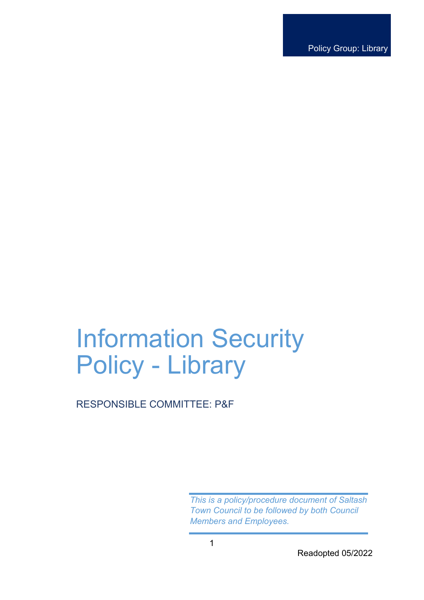Policy Group: Library

# Information Security Policy - Library

# RESPONSIBLE COMMITTEE: P&F

*This is a policy/procedure document of Saltash Town Council to be followed by both Council Members and Employees.*

Readopted 05/2022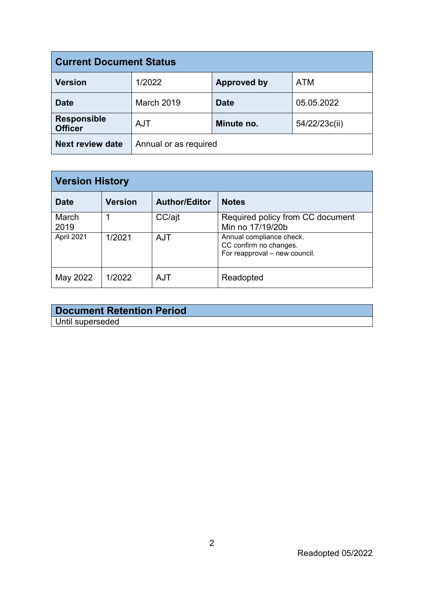| <b>Current Document Status</b>       |                       |                    |               |  |  |
|--------------------------------------|-----------------------|--------------------|---------------|--|--|
| <b>Version</b>                       | 1/2022                | <b>Approved by</b> | <b>ATM</b>    |  |  |
| <b>Date</b>                          | March 2019            | <b>Date</b>        | 05.05.2022    |  |  |
| <b>Responsible</b><br><b>Officer</b> | <b>AJT</b>            | Minute no.         | 54/22/23c(ii) |  |  |
| <b>Next review date</b>              | Annual or as required |                    |               |  |  |

| <b>Version History</b> |                |                      |                                                                                     |  |  |
|------------------------|----------------|----------------------|-------------------------------------------------------------------------------------|--|--|
| <b>Date</b>            | <b>Version</b> | <b>Author/Editor</b> | <b>Notes</b>                                                                        |  |  |
| March<br>2019          |                | CC/ajt               | Required policy from CC document<br>Min no 17/19/20b                                |  |  |
| April 2021             | 1/2021         | <b>AJT</b>           | Annual compliance check.<br>CC confirm no changes.<br>For reapproval - new council. |  |  |
| May 2022               | 1/2022         | <b>AJT</b>           | Readopted                                                                           |  |  |

| <b>Document Retention Period</b> |  |
|----------------------------------|--|
| Until superseded                 |  |

Readopted 05/2022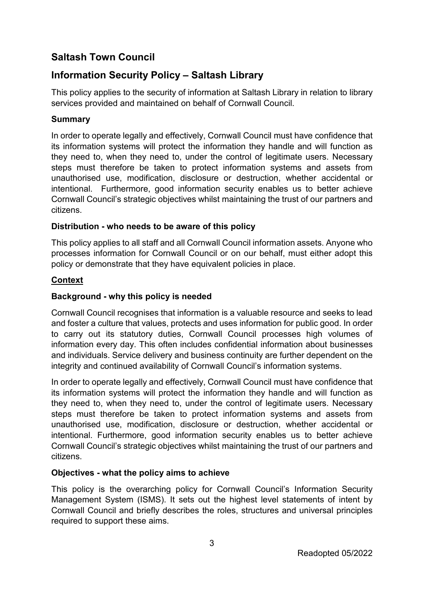# **Saltash Town Council**

# **Information Security Policy – Saltash Library**

This policy applies to the security of information at Saltash Library in relation to library services provided and maintained on behalf of Cornwall Council.

# **Summary**

In order to operate legally and effectively, Cornwall Council must have confidence that its information systems will protect the information they handle and will function as they need to, when they need to, under the control of legitimate users. Necessary steps must therefore be taken to protect information systems and assets from unauthorised use, modification, disclosure or destruction, whether accidental or intentional. Furthermore, good information security enables us to better achieve Cornwall Council's strategic objectives whilst maintaining the trust of our partners and citizens.

## **Distribution - who needs to be aware of this policy**

This policy applies to all staff and all Cornwall Council information assets. Anyone who processes information for Cornwall Council or on our behalf, must either adopt this policy or demonstrate that they have equivalent policies in place.

# **Context**

# **Background - why this policy is needed**

Cornwall Council recognises that information is a valuable resource and seeks to lead and foster a culture that values, protects and uses information for public good. In order to carry out its statutory duties, Cornwall Council processes high volumes of information every day. This often includes confidential information about businesses and individuals. Service delivery and business continuity are further dependent on the integrity and continued availability of Cornwall Council's information systems.

In order to operate legally and effectively, Cornwall Council must have confidence that its information systems will protect the information they handle and will function as they need to, when they need to, under the control of legitimate users. Necessary steps must therefore be taken to protect information systems and assets from unauthorised use, modification, disclosure or destruction, whether accidental or intentional. Furthermore, good information security enables us to better achieve Cornwall Council's strategic objectives whilst maintaining the trust of our partners and citizens.

## **Objectives - what the policy aims to achieve**

This policy is the overarching policy for Cornwall Council's Information Security Management System (ISMS). It sets out the highest level statements of intent by Cornwall Council and briefly describes the roles, structures and universal principles required to support these aims.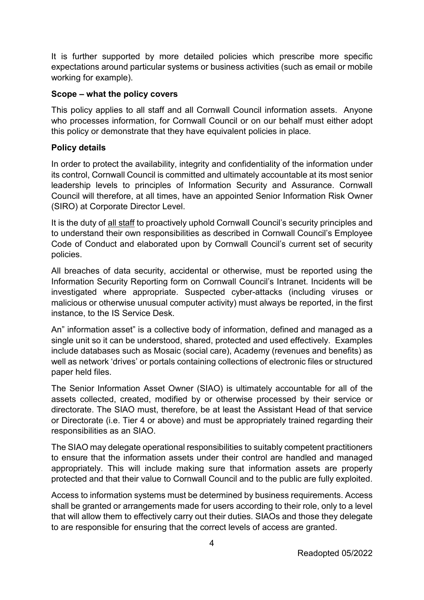It is further supported by more detailed policies which prescribe more specific expectations around particular systems or business activities (such as email or mobile working for example).

### **Scope – what the policy covers**

This policy applies to all staff and all Cornwall Council information assets. Anyone who processes information, for Cornwall Council or on our behalf must either adopt this policy or demonstrate that they have equivalent policies in place.

### **Policy details**

In order to protect the availability, integrity and confidentiality of the information under its control, Cornwall Council is committed and ultimately accountable at its most senior leadership levels to principles of Information Security and Assurance. Cornwall Council will therefore, at all times, have an appointed Senior Information Risk Owner (SIRO) at Corporate Director Level.

It is the duty of all staff to proactively uphold Cornwall Council's security principles and to understand their own responsibilities as described in Cornwall Council's Employee Code of Conduct and elaborated upon by Cornwall Council's current set of security policies.

All breaches of data security, accidental or otherwise, must be reported using the Information Security Reporting form on Cornwall Council's Intranet. Incidents will be investigated where appropriate. Suspected cyber-attacks (including viruses or malicious or otherwise unusual computer activity) must always be reported, in the first instance, to the IS Service Desk.

An" information asset" is a collective body of information, defined and managed as a single unit so it can be understood, shared, protected and used effectively. Examples include databases such as Mosaic (social care), Academy (revenues and benefits) as well as network 'drives' or portals containing collections of electronic files or structured paper held files.

The Senior Information Asset Owner (SIAO) is ultimately accountable for all of the assets collected, created, modified by or otherwise processed by their service or directorate. The SIAO must, therefore, be at least the Assistant Head of that service or Directorate (i.e. Tier 4 or above) and must be appropriately trained regarding their responsibilities as an SIAO.

The SIAO may delegate operational responsibilities to suitably competent practitioners to ensure that the information assets under their control are handled and managed appropriately. This will include making sure that information assets are properly protected and that their value to Cornwall Council and to the public are fully exploited.

Access to information systems must be determined by business requirements. Access shall be granted or arrangements made for users according to their role, only to a level that will allow them to effectively carry out their duties. SIAOs and those they delegate to are responsible for ensuring that the correct levels of access are granted.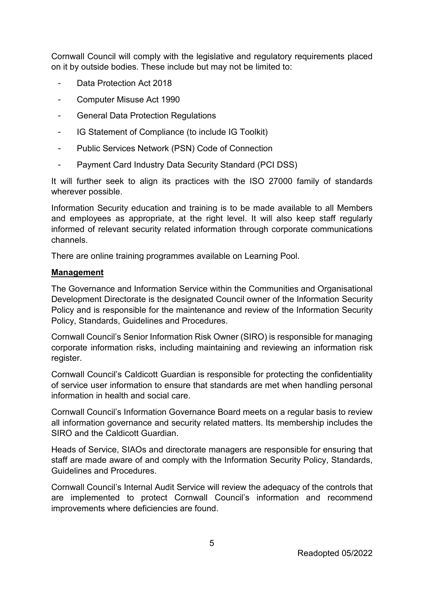Cornwall Council will comply with the legislative and regulatory requirements placed on it by outside bodies. These include but may not be limited to:

- Data Protection Act 2018
- Computer Misuse Act 1990
- General Data Protection Regulations
- IG Statement of Compliance (to include IG Toolkit)
- Public Services Network (PSN) Code of Connection
- Payment Card Industry Data Security Standard (PCI DSS)

It will further seek to align its practices with the ISO 27000 family of standards wherever possible.

Information Security education and training is to be made available to all Members and employees as appropriate, at the right level. It will also keep staff regularly informed of relevant security related information through corporate communications channels.

There are online training programmes available on Learning Pool.

#### **Management**

The Governance and Information Service within the Communities and Organisational Development Directorate is the designated Council owner of the Information Security Policy and is responsible for the maintenance and review of the Information Security Policy, Standards, Guidelines and Procedures.

Cornwall Council's Senior Information Risk Owner (SIRO) is responsible for managing corporate information risks, including maintaining and reviewing an information risk register.

Cornwall Council's Caldicott Guardian is responsible for protecting the confidentiality of service user information to ensure that standards are met when handling personal information in health and social care.

Cornwall Council's Information Governance Board meets on a regular basis to review all information governance and security related matters. Its membership includes the SIRO and the Caldicott Guardian.

Heads of Service, SIAOs and directorate managers are responsible for ensuring that staff are made aware of and comply with the Information Security Policy, Standards, Guidelines and Procedures.

Cornwall Council's Internal Audit Service will review the adequacy of the controls that are implemented to protect Cornwall Council's information and recommend improvements where deficiencies are found.